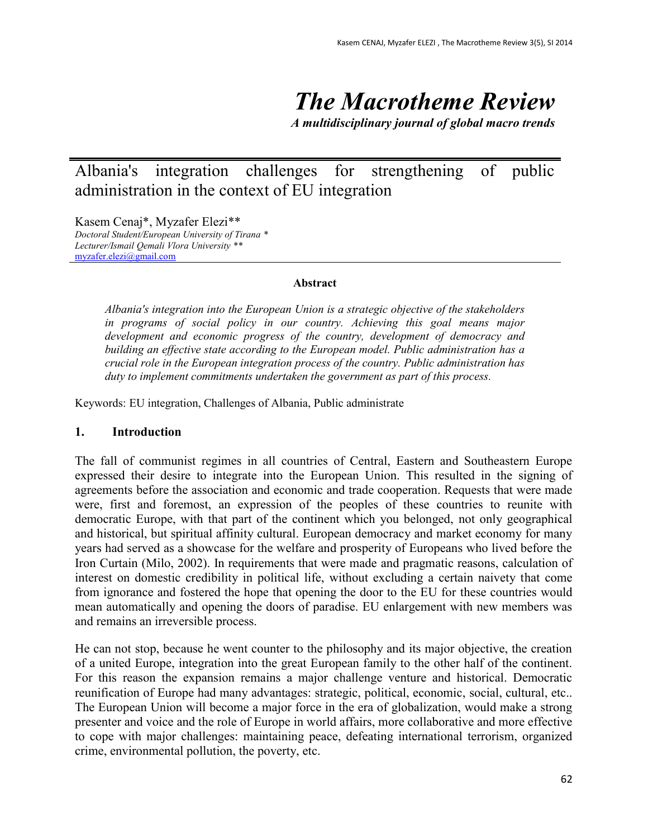*The Macrotheme Review*

*A multidisciplinary journal of global macro trends*

Albania's integration challenges for strengthening of public administration in the context of EU integration

Kasem Cenaj\*, Myzafer Elezi\*\* *Doctoral Student/European University of Tirana \* Lecturer/Ismail Qemali Vlora University \*\**  [myzafer.elezi@gmail.com](mailto:myzafer.elezi@gmail.com)

#### **Abstract**

*Albania's integration into the European Union is a strategic objective of the stakeholders in programs of social policy in our country. Achieving this goal means major development and economic progress of the country, development of democracy and building an effective state according to the European model. Public administration has a crucial role in the European integration process of the country. Public administration has duty to implement commitments undertaken the government as part of this process.*

Keywords: EU integration, Challenges of Albania, Public administrate

#### **1. Introduction**

The fall of communist regimes in all countries of Central, Eastern and Southeastern Europe expressed their desire to integrate into the European Union. This resulted in the signing of agreements before the association and economic and trade cooperation. Requests that were made were, first and foremost, an expression of the peoples of these countries to reunite with democratic Europe, with that part of the continent which you belonged, not only geographical and historical, but spiritual affinity cultural. European democracy and market economy for many years had served as a showcase for the welfare and prosperity of Europeans who lived before the Iron Curtain (Milo, 2002). In requirements that were made and pragmatic reasons, calculation of interest on domestic credibility in political life, without excluding a certain naivety that come from ignorance and fostered the hope that opening the door to the EU for these countries would mean automatically and opening the doors of paradise. EU enlargement with new members was and remains an irreversible process.

He can not stop, because he went counter to the philosophy and its major objective, the creation of a united Europe, integration into the great European family to the other half of the continent. For this reason the expansion remains a major challenge venture and historical. Democratic reunification of Europe had many advantages: strategic, political, economic, social, cultural, etc.. The European Union will become a major force in the era of globalization, would make a strong presenter and voice and the role of Europe in world affairs, more collaborative and more effective to cope with major challenges: maintaining peace, defeating international terrorism, organized crime, environmental pollution, the poverty, etc.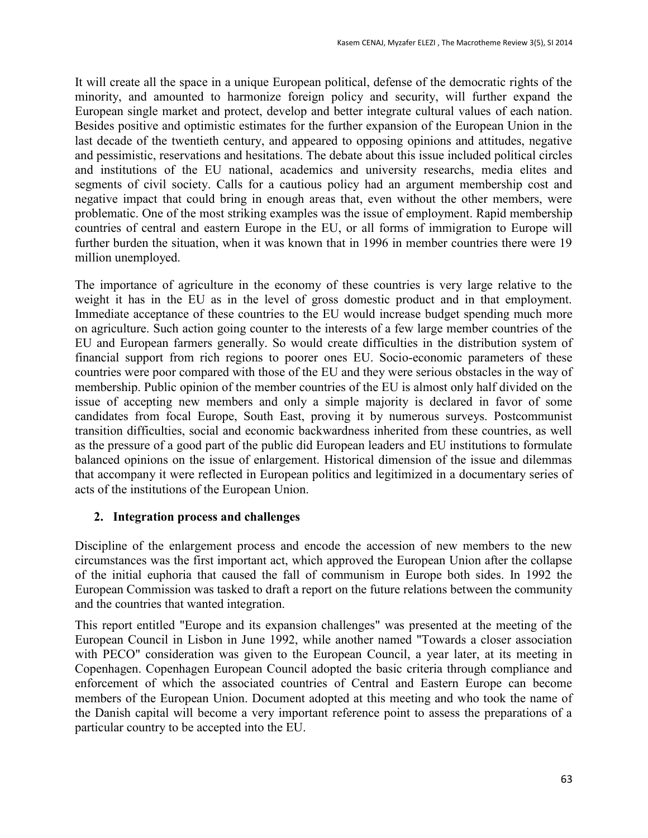It will create all the space in a unique European political, defense of the democratic rights of the minority, and amounted to harmonize foreign policy and security, will further expand the European single market and protect, develop and better integrate cultural values of each nation. Besides positive and optimistic estimates for the further expansion of the European Union in the last decade of the twentieth century, and appeared to opposing opinions and attitudes, negative and pessimistic, reservations and hesitations. The debate about this issue included political circles and institutions of the EU national, academics and university researchs, media elites and segments of civil society. Calls for a cautious policy had an argument membership cost and negative impact that could bring in enough areas that, even without the other members, were problematic. One of the most striking examples was the issue of employment. Rapid membership countries of central and eastern Europe in the EU, or all forms of immigration to Europe will further burden the situation, when it was known that in 1996 in member countries there were 19 million unemployed.

The importance of agriculture in the economy of these countries is very large relative to the weight it has in the EU as in the level of gross domestic product and in that employment. Immediate acceptance of these countries to the EU would increase budget spending much more on agriculture. Such action going counter to the interests of a few large member countries of the EU and European farmers generally. So would create difficulties in the distribution system of financial support from rich regions to poorer ones EU. Socio-economic parameters of these countries were poor compared with those of the EU and they were serious obstacles in the way of membership. Public opinion of the member countries of the EU is almost only half divided on the issue of accepting new members and only a simple majority is declared in favor of some candidates from focal Europe, South East, proving it by numerous surveys. Postcommunist transition difficulties, social and economic backwardness inherited from these countries, as well as the pressure of a good part of the public did European leaders and EU institutions to formulate balanced opinions on the issue of enlargement. Historical dimension of the issue and dilemmas that accompany it were reflected in European politics and legitimized in a documentary series of acts of the institutions of the European Union.

## **2. Integration process and challenges**

Discipline of the enlargement process and encode the accession of new members to the new circumstances was the first important act, which approved the European Union after the collapse of the initial euphoria that caused the fall of communism in Europe both sides. In 1992 the European Commission was tasked to draft a report on the future relations between the community and the countries that wanted integration.

This report entitled "Europe and its expansion challenges" was presented at the meeting of the European Council in Lisbon in June 1992, while another named "Towards a closer association with PECO" consideration was given to the European Council, a year later, at its meeting in Copenhagen. Copenhagen European Council adopted the basic criteria through compliance and enforcement of which the associated countries of Central and Eastern Europe can become members of the European Union. Document adopted at this meeting and who took the name of the Danish capital will become a very important reference point to assess the preparations of a particular country to be accepted into the EU.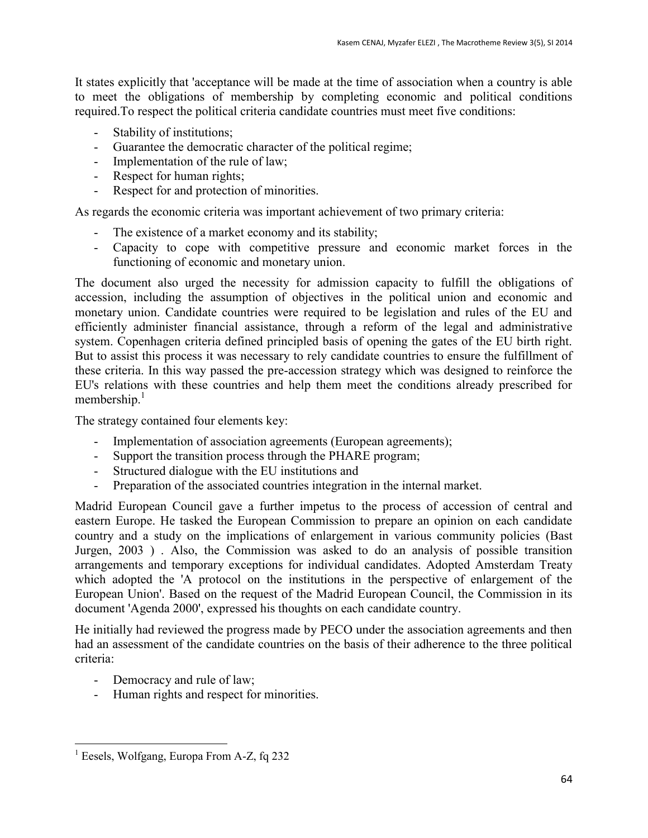It states explicitly that 'acceptance will be made at the time of association when a country is able to meet the obligations of membership by completing economic and political conditions required.To respect the political criteria candidate countries must meet five conditions:

- Stability of institutions;
- Guarantee the democratic character of the political regime;
- Implementation of the rule of law;
- Respect for human rights;
- Respect for and protection of minorities.

As regards the economic criteria was important achievement of two primary criteria:

- The existence of a market economy and its stability;
- Capacity to cope with competitive pressure and economic market forces in the functioning of economic and monetary union.

The document also urged the necessity for admission capacity to fulfill the obligations of accession, including the assumption of objectives in the political union and economic and monetary union. Candidate countries were required to be legislation and rules of the EU and efficiently administer financial assistance, through a reform of the legal and administrative system. Copenhagen criteria defined principled basis of opening the gates of the EU birth right. But to assist this process it was necessary to rely candidate countries to ensure the fulfillment of these criteria. In this way passed the pre-accession strategy which was designed to reinforce the EU's relations with these countries and help them meet the conditions already prescribed for membership.<sup>1</sup>

The strategy contained four elements key:

- Implementation of association agreements (European agreements);
- Support the transition process through the PHARE program;
- Structured dialogue with the EU institutions and
- Preparation of the associated countries integration in the internal market.

Madrid European Council gave a further impetus to the process of accession of central and eastern Europe. He tasked the European Commission to prepare an opinion on each candidate country and a study on the implications of enlargement in various community policies (Bast Jurgen, 2003 ) . Also, the Commission was asked to do an analysis of possible transition arrangements and temporary exceptions for individual candidates. Adopted Amsterdam Treaty which adopted the 'A protocol on the institutions in the perspective of enlargement of the European Union'. Based on the request of the Madrid European Council, the Commission in its document 'Agenda 2000', expressed his thoughts on each candidate country.

He initially had reviewed the progress made by PECO under the association agreements and then had an assessment of the candidate countries on the basis of their adherence to the three political criteria:

- Democracy and rule of law;
- Human rights and respect for minorities.

 $\overline{a}$ 

<sup>&</sup>lt;sup>1</sup> Eesels, Wolfgang, Europa From A-Z, fq 232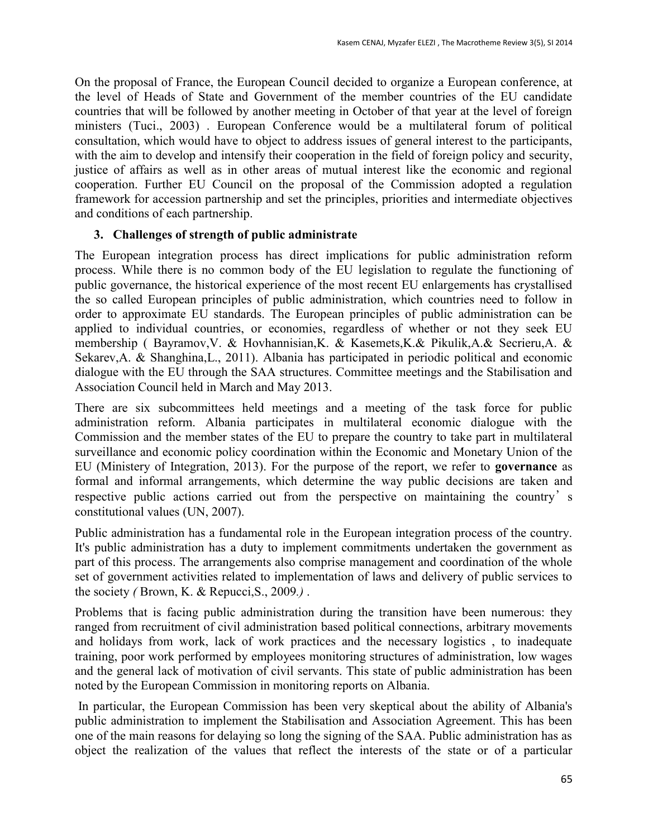On the proposal of France, the European Council decided to organize a European conference, at the level of Heads of State and Government of the member countries of the EU candidate countries that will be followed by another meeting in October of that year at the level of foreign ministers (Tuci., 2003) . European Conference would be a multilateral forum of political consultation, which would have to object to address issues of general interest to the participants, with the aim to develop and intensify their cooperation in the field of foreign policy and security, justice of affairs as well as in other areas of mutual interest like the economic and regional cooperation. Further EU Council on the proposal of the Commission adopted a regulation framework for accession partnership and set the principles, priorities and intermediate objectives and conditions of each partnership.

## **3. Challenges of strength of public administrate**

The European integration process has direct implications for public administration reform process. While there is no common body of the EU legislation to regulate the functioning of public governance, the historical experience of the most recent EU enlargements has crystallised the so called European principles of public administration, which countries need to follow in order to approximate EU standards. The European principles of public administration can be applied to individual countries, or economies, regardless of whether or not they seek EU membership ( Bayramov,V. & Hovhannisian,K. & Kasemets,K.& Pikulik,A.& Secrieru,A. & Sekarev, A. & Shanghina, L., 2011). Albania has participated in periodic political and economic dialogue with the EU through the SAA structures. Committee meetings and the Stabilisation and Association Council held in March and May 2013.

There are six subcommittees held meetings and a meeting of the task force for public administration reform. Albania participates in multilateral economic dialogue with the Commission and the member states of the EU to prepare the country to take part in multilateral surveillance and economic policy coordination within the Economic and Monetary Union of the EU (Ministery of Integration, 2013). For the purpose of the report, we refer to **governance** as formal and informal arrangements, which determine the way public decisions are taken and respective public actions carried out from the perspective on maintaining the country's constitutional values (UN, 2007).

Public administration has a fundamental role in the European integration process of the country. It's public administration has a duty to implement commitments undertaken the government as part of this process. The arrangements also comprise management and coordination of the whole set of government activities related to implementation of laws and delivery of public services to the society *(* Brown, K. & Repucci,S., 2009*.)* .

Problems that is facing public administration during the transition have been numerous: they ranged from recruitment of civil administration based political connections, arbitrary movements and holidays from work, lack of work practices and the necessary logistics , to inadequate training, poor work performed by employees monitoring structures of administration, low wages and the general lack of motivation of civil servants. This state of public administration has been noted by the European Commission in monitoring reports on Albania.

In particular, the European Commission has been very skeptical about the ability of Albania's public administration to implement the Stabilisation and Association Agreement. This has been one of the main reasons for delaying so long the signing of the SAA. Public administration has as object the realization of the values that reflect the interests of the state or of a particular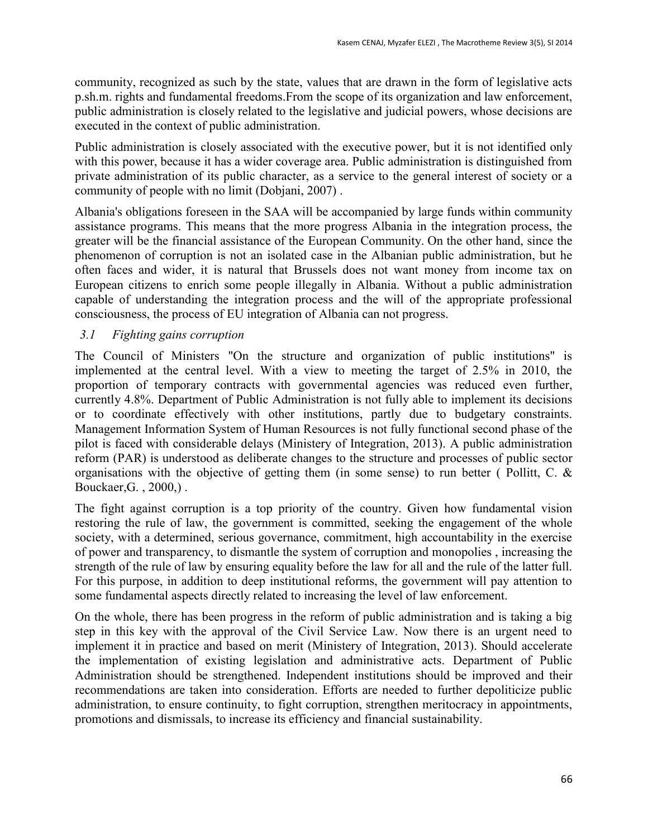community, recognized as such by the state, values that are drawn in the form of legislative acts p.sh.m. rights and fundamental freedoms.From the scope of its organization and law enforcement, public administration is closely related to the legislative and judicial powers, whose decisions are executed in the context of public administration.

Public administration is closely associated with the executive power, but it is not identified only with this power, because it has a wider coverage area. Public administration is distinguished from private administration of its public character, as a service to the general interest of society or a community of people with no limit (Dobjani, 2007) .

Albania's obligations foreseen in the SAA will be accompanied by large funds within community assistance programs. This means that the more progress Albania in the integration process, the greater will be the financial assistance of the European Community. On the other hand, since the phenomenon of corruption is not an isolated case in the Albanian public administration, but he often faces and wider, it is natural that Brussels does not want money from income tax on European citizens to enrich some people illegally in Albania. Without a public administration capable of understanding the integration process and the will of the appropriate professional consciousness, the process of EU integration of Albania can not progress.

# *3.1 Fighting gains corruption*

The Council of Ministers "On the structure and organization of public institutions" is implemented at the central level. With a view to meeting the target of 2.5% in 2010, the proportion of temporary contracts with governmental agencies was reduced even further, currently 4.8%. Department of Public Administration is not fully able to implement its decisions or to coordinate effectively with other institutions, partly due to budgetary constraints. Management Information System of Human Resources is not fully functional second phase of the pilot is faced with considerable delays (Ministery of Integration, 2013). A public administration reform (PAR) is understood as deliberate changes to the structure and processes of public sector organisations with the objective of getting them (in some sense) to run better (Pollitt, C.  $\&$ Bouckaer,G. , 2000,) .

The fight against corruption is a top priority of the country. Given how fundamental vision restoring the rule of law, the government is committed, seeking the engagement of the whole society, with a determined, serious governance, commitment, high accountability in the exercise of power and transparency, to dismantle the system of corruption and monopolies , increasing the strength of the rule of law by ensuring equality before the law for all and the rule of the latter full. For this purpose, in addition to deep institutional reforms, the government will pay attention to some fundamental aspects directly related to increasing the level of law enforcement.

On the whole, there has been progress in the reform of public administration and is taking a big step in this key with the approval of the Civil Service Law. Now there is an urgent need to implement it in practice and based on merit (Ministery of Integration, 2013). Should accelerate the implementation of existing legislation and administrative acts. Department of Public Administration should be strengthened. Independent institutions should be improved and their recommendations are taken into consideration. Efforts are needed to further depoliticize public administration, to ensure continuity, to fight corruption, strengthen meritocracy in appointments, promotions and dismissals, to increase its efficiency and financial sustainability.